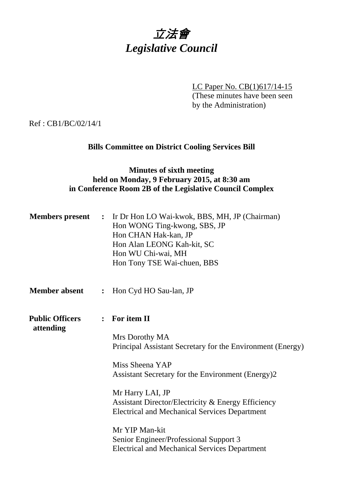

LC Paper No. CB(1)617/14-15 (These minutes have been seen by the Administration)

Ref : CB1/BC/02/14/1

# **Bills Committee on District Cooling Services Bill**

# **Minutes of sixth meeting held on Monday, 9 February 2015, at 8:30 am in Conference Room 2B of the Legislative Council Complex**

| <b>Members</b> present              | $\ddot{\cdot}$ | Ir Dr Hon LO Wai-kwok, BBS, MH, JP (Chairman)<br>Hon WONG Ting-kwong, SBS, JP<br>Hon CHAN Hak-kan, JP<br>Hon Alan LEONG Kah-kit, SC<br>Hon WU Chi-wai, MH<br>Hon Tony TSE Wai-chuen, BBS |
|-------------------------------------|----------------|------------------------------------------------------------------------------------------------------------------------------------------------------------------------------------------|
| <b>Member absent</b>                | $\ddot{\cdot}$ | Hon Cyd HO Sau-lan, JP                                                                                                                                                                   |
| <b>Public Officers</b><br>attending |                | : For item II                                                                                                                                                                            |
|                                     |                | Mrs Dorothy MA<br>Principal Assistant Secretary for the Environment (Energy)                                                                                                             |
|                                     |                | Miss Sheena YAP<br>Assistant Secretary for the Environment (Energy)2                                                                                                                     |
|                                     |                | Mr Harry LAI, JP<br>Assistant Director/Electricity & Energy Efficiency<br><b>Electrical and Mechanical Services Department</b>                                                           |
|                                     |                | Mr YIP Man-kit<br>Senior Engineer/Professional Support 3<br><b>Electrical and Mechanical Services Department</b>                                                                         |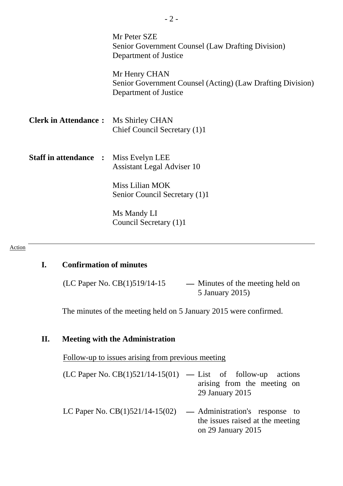|                              | Mr Peter SZE<br>Senior Government Counsel (Law Drafting Division)<br>Department of Justice           |
|------------------------------|------------------------------------------------------------------------------------------------------|
|                              | Mr Henry CHAN<br>Senior Government Counsel (Acting) (Law Drafting Division)<br>Department of Justice |
| <b>Clerk in Attendance:</b>  | Ms Shirley CHAN<br>Chief Council Secretary (1)1                                                      |
| <b>Staff in attendance :</b> | Miss Evelyn LEE<br><b>Assistant Legal Adviser 10</b>                                                 |
|                              | Miss Lilian MOK<br>Senior Council Secretary (1)1                                                     |
|                              | Ms Mandy LI<br>Council Secretary (1)1                                                                |

#### Action

### **I. Confirmation of minutes**

(LC Paper No. CB(1)519/14-15 **—** Minutes of the meeting held on 5 January 2015)

The minutes of the meeting held on 5 January 2015 were confirmed.

### **II. Meeting with the Administration**

Follow-up to issues arising from previous meeting

- (LC Paper No. CB(1)521/14-15(01) **—** List of follow-up actions arising from the meeting on 29 January 2015
- LC Paper No. CB(1)521/14-15(02) **—** Administration's response to the issues raised at the meeting on 29 January 2015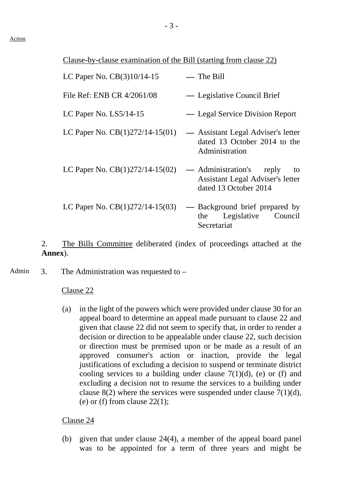| LC Paper No. CB(3)10/14-15        | $-$ The Bill                                                                                |
|-----------------------------------|---------------------------------------------------------------------------------------------|
| File Ref: ENB CR 4/2061/08        | — Legislative Council Brief                                                                 |
| LC Paper No. $LS5/14-15$          | — Legal Service Division Report                                                             |
| LC Paper No. $CB(1)272/14-15(01)$ | — Assistant Legal Adviser's letter<br>dated 13 October 2014 to the<br>Administration        |
| LC Paper No. $CB(1)272/14-15(02)$ | — Administration's reply<br>to<br>Assistant Legal Adviser's letter<br>dated 13 October 2014 |
| LC Paper No. $CB(1)272/14-15(03)$ | — Background brief prepared by<br>Legislative Council<br>the<br>Secretariat                 |

2. The Bills Committee deliberated (index of proceedings attached at the **Annex**).

Admin  $\alpha$  3. The Administration was requested to –

### Clause 22

(a) in the light of the powers which were provided under clause 30 for an appeal board to determine an appeal made pursuant to clause 22 and given that clause 22 did not seem to specify that, in order to render a decision or direction to be appealable under clause 22, such decision or direction must be premised upon or be made as a result of an approved consumer's action or inaction, provide the legal justifications of excluding a decision to suspend or terminate district cooling services to a building under clause  $7(1)(d)$ , (e) or (f) and excluding a decision not to resume the services to a building under clause  $8(2)$  where the services were suspended under clause  $7(1)(d)$ , (e) or (f) from clause  $22(1)$ ;

### Clause 24

(b) given that under clause 24(4), a member of the appeal board panel was to be appointed for a term of three years and might be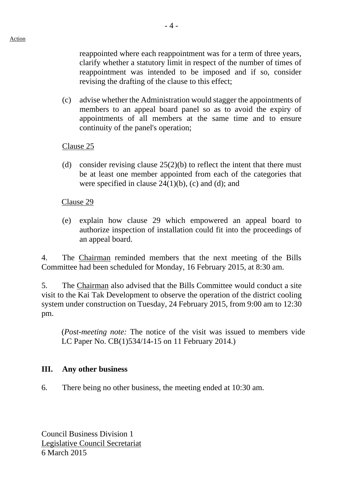reappointed where each reappointment was for a term of three years, clarify whether a statutory limit in respect of the number of times of reappointment was intended to be imposed and if so, consider revising the drafting of the clause to this effect;

(c) advise whether the Administration would stagger the appointments of members to an appeal board panel so as to avoid the expiry of appointments of all members at the same time and to ensure continuity of the panel's operation;

### Clause 25

(d) consider revising clause  $25(2)(b)$  to reflect the intent that there must be at least one member appointed from each of the categories that were specified in clause  $24(1)(b)$ , (c) and (d); and

### Clause 29

(e) explain how clause 29 which empowered an appeal board to authorize inspection of installation could fit into the proceedings of an appeal board.

4. The Chairman reminded members that the next meeting of the Bills Committee had been scheduled for Monday, 16 February 2015, at 8:30 am.

5. The Chairman also advised that the Bills Committee would conduct a site visit to the Kai Tak Development to observe the operation of the district cooling system under construction on Tuesday, 24 February 2015, from 9:00 am to 12:30 pm.

(*Post-meeting note:* The notice of the visit was issued to members vide LC Paper No. CB(1)534/14-15 on 11 February 2014.)

## **III. Any other business**

6. There being no other business, the meeting ended at 10:30 am.

Council Business Division 1 Legislative Council Secretariat 6 March 2015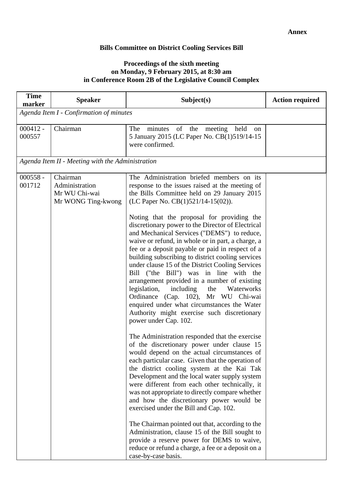### **Bills Committee on District Cooling Services Bill**

#### **Proceedings of the sixth meeting on Monday, 9 February 2015, at 8:30 am in Conference Room 2B of the Legislative Council Complex**

| <b>Time</b><br><b>Speaker</b><br>marker                                                   | Subject(s)                                                                                                                                                                                                                                                                                                                                                                                                                                                                                                                                                                                                                                                                                                                                                                                                                                                                                                                                                                                                                                                                                                                                                                                                                                                                                                                                                                                                                                                                                                                                                                                     | <b>Action required</b> |  |  |
|-------------------------------------------------------------------------------------------|------------------------------------------------------------------------------------------------------------------------------------------------------------------------------------------------------------------------------------------------------------------------------------------------------------------------------------------------------------------------------------------------------------------------------------------------------------------------------------------------------------------------------------------------------------------------------------------------------------------------------------------------------------------------------------------------------------------------------------------------------------------------------------------------------------------------------------------------------------------------------------------------------------------------------------------------------------------------------------------------------------------------------------------------------------------------------------------------------------------------------------------------------------------------------------------------------------------------------------------------------------------------------------------------------------------------------------------------------------------------------------------------------------------------------------------------------------------------------------------------------------------------------------------------------------------------------------------------|------------------------|--|--|
|                                                                                           | Agenda Item I - Confirmation of minutes                                                                                                                                                                                                                                                                                                                                                                                                                                                                                                                                                                                                                                                                                                                                                                                                                                                                                                                                                                                                                                                                                                                                                                                                                                                                                                                                                                                                                                                                                                                                                        |                        |  |  |
| $000412 -$<br>Chairman<br>000557                                                          | minutes of the<br>The<br>meeting<br>held<br>on<br>5 January 2015 (LC Paper No. CB(1)519/14-15<br>were confirmed.                                                                                                                                                                                                                                                                                                                                                                                                                                                                                                                                                                                                                                                                                                                                                                                                                                                                                                                                                                                                                                                                                                                                                                                                                                                                                                                                                                                                                                                                               |                        |  |  |
| Agenda Item II - Meeting with the Administration                                          |                                                                                                                                                                                                                                                                                                                                                                                                                                                                                                                                                                                                                                                                                                                                                                                                                                                                                                                                                                                                                                                                                                                                                                                                                                                                                                                                                                                                                                                                                                                                                                                                |                        |  |  |
| $000558 -$<br>Chairman<br>001712<br>Administration<br>Mr WU Chi-wai<br>Mr WONG Ting-kwong | The Administration briefed members on its<br>response to the issues raised at the meeting of<br>the Bills Committee held on 29 January 2015<br>(LC Paper No. CB(1)521/14-15(02)).<br>Noting that the proposal for providing the<br>discretionary power to the Director of Electrical<br>and Mechanical Services ("DEMS") to reduce,<br>waive or refund, in whole or in part, a charge, a<br>fee or a deposit payable or paid in respect of a<br>building subscribing to district cooling services<br>under clause 15 of the District Cooling Services<br>Bill ("the Bill") was in line with the<br>arrangement provided in a number of existing<br>legislation,<br>including<br>the<br>Waterworks<br>Ordinance (Cap. 102), Mr WU Chi-wai<br>enquired under what circumstances the Water<br>Authority might exercise such discretionary<br>power under Cap. 102.<br>The Administration responded that the exercise<br>of the discretionary power under clause 15<br>would depend on the actual circumstances of<br>each particular case. Given that the operation of<br>the district cooling system at the Kai Tak<br>Development and the local water supply system<br>were different from each other technically, it<br>was not appropriate to directly compare whether<br>and how the discretionary power would be<br>exercised under the Bill and Cap. 102.<br>The Chairman pointed out that, according to the<br>Administration, clause 15 of the Bill sought to<br>provide a reserve power for DEMS to waive,<br>reduce or refund a charge, a fee or a deposit on a<br>case-by-case basis. |                        |  |  |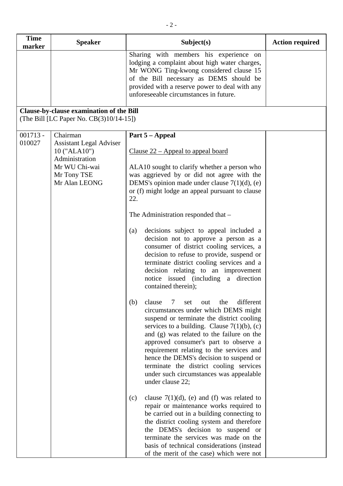| <b>Time</b>          | <b>Speaker</b>                                                                                                                | Subject(s)                                                                                                                                                                                                                                                                                                                                                                                                                                                                         | <b>Action required</b> |
|----------------------|-------------------------------------------------------------------------------------------------------------------------------|------------------------------------------------------------------------------------------------------------------------------------------------------------------------------------------------------------------------------------------------------------------------------------------------------------------------------------------------------------------------------------------------------------------------------------------------------------------------------------|------------------------|
| marker               |                                                                                                                               | Sharing with members his experience on<br>lodging a complaint about high water charges,<br>Mr WONG Ting-kwong considered clause 15<br>of the Bill necessary as DEMS should be<br>provided with a reserve power to deal with any<br>unforeseeable circumstances in future.                                                                                                                                                                                                          |                        |
|                      | Clause-by-clause examination of the Bill<br>(The Bill [LC Paper No. $CB(3)10/14-15$ ])                                        |                                                                                                                                                                                                                                                                                                                                                                                                                                                                                    |                        |
| $001713 -$<br>010027 | Chairman<br><b>Assistant Legal Adviser</b><br>10 ("ALA10")<br>Administration<br>Mr WU Chi-wai<br>Mr Tony TSE<br>Mr Alan LEONG | Part 5 – Appeal<br><u>Clause <math>22</math> – Appeal to appeal board</u><br>ALA10 sought to clarify whether a person who<br>was aggrieved by or did not agree with the<br>DEMS's opinion made under clause $7(1)(d)$ , (e)<br>or (f) might lodge an appeal pursuant to clause<br>22.                                                                                                                                                                                              |                        |
|                      |                                                                                                                               | The Administration responded that -<br>decisions subject to appeal included a<br>(a)<br>decision not to approve a person as a<br>consumer of district cooling services, a<br>decision to refuse to provide, suspend or<br>terminate district cooling services and a<br>decision relating to an improvement<br>notice issued (including a direction<br>contained therein);                                                                                                          |                        |
|                      |                                                                                                                               | different<br>(b)<br>clause<br>the<br>7<br>set<br>out<br>circumstances under which DEMS might<br>suspend or terminate the district cooling<br>services to a building. Clause $7(1)(b)$ , (c)<br>and (g) was related to the failure on the<br>approved consumer's part to observe a<br>requirement relating to the services and<br>hence the DEMS's decision to suspend or<br>terminate the district cooling services<br>under such circumstances was appealable<br>under clause 22; |                        |
|                      |                                                                                                                               | clause $7(1)(d)$ , (e) and (f) was related to<br>(c)<br>repair or maintenance works required to<br>be carried out in a building connecting to<br>the district cooling system and therefore<br>the DEMS's decision to suspend or<br>terminate the services was made on the<br>basis of technical considerations (instead<br>of the merit of the case) which were not                                                                                                                |                        |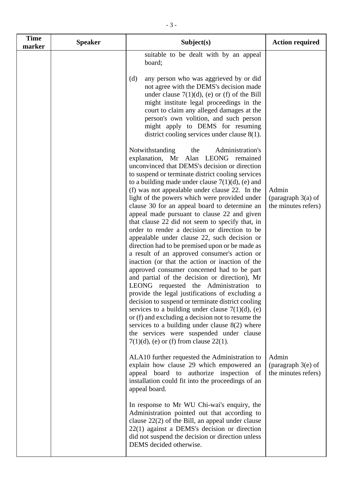| <b>Time</b><br>marker | <b>Speaker</b> | Subject(s)                                                                                                                                                                                                                                                                                                                                                                                                                                                                                                                                                                                                                                                                                                                                                                                                                                                                                                                                                                                                                                                                                                                                                                                                                                                           | <b>Action required</b>                               |
|-----------------------|----------------|----------------------------------------------------------------------------------------------------------------------------------------------------------------------------------------------------------------------------------------------------------------------------------------------------------------------------------------------------------------------------------------------------------------------------------------------------------------------------------------------------------------------------------------------------------------------------------------------------------------------------------------------------------------------------------------------------------------------------------------------------------------------------------------------------------------------------------------------------------------------------------------------------------------------------------------------------------------------------------------------------------------------------------------------------------------------------------------------------------------------------------------------------------------------------------------------------------------------------------------------------------------------|------------------------------------------------------|
|                       |                | suitable to be dealt with by an appeal<br>board;                                                                                                                                                                                                                                                                                                                                                                                                                                                                                                                                                                                                                                                                                                                                                                                                                                                                                                                                                                                                                                                                                                                                                                                                                     |                                                      |
|                       |                | any person who was aggrieved by or did<br>(d)<br>not agree with the DEMS's decision made<br>under clause $7(1)(d)$ , (e) or (f) of the Bill<br>might institute legal proceedings in the<br>court to claim any alleged damages at the<br>person's own volition, and such person<br>might apply to DEMS for resuming<br>district cooling services under clause $8(1)$ .                                                                                                                                                                                                                                                                                                                                                                                                                                                                                                                                                                                                                                                                                                                                                                                                                                                                                                |                                                      |
|                       |                | Notwithstanding<br>Administration's<br>the<br>explanation, Mr Alan LEONG remained<br>unconvinced that DEMS's decision or direction<br>to suspend or terminate district cooling services<br>to a building made under clause $7(1)(d)$ , (e) and<br>(f) was not appealable under clause 22. In the<br>light of the powers which were provided under<br>clause 30 for an appeal board to determine an<br>appeal made pursuant to clause 22 and given<br>that clause 22 did not seem to specify that, in<br>order to render a decision or direction to be<br>appealable under clause 22, such decision or<br>direction had to be premised upon or be made as<br>a result of an approved consumer's action or<br>inaction (or that the action or inaction of the<br>approved consumer concerned had to be part<br>and partial of the decision or direction), Mr<br>LEONG requested the Administration to<br>provide the legal justifications of excluding a<br>decision to suspend or terminate district cooling<br>services to a building under clause $7(1)(d)$ , (e)<br>or (f) and excluding a decision not to resume the<br>services to a building under clause $8(2)$ where<br>the services were suspended under clause<br>$7(1)(d)$ , (e) or (f) from clause 22(1). | Admin<br>(paragraph $3(a)$ of<br>the minutes refers) |
|                       |                | ALA10 further requested the Administration to<br>explain how clause 29 which empowered an<br>appeal board to authorize inspection of<br>installation could fit into the proceedings of an<br>appeal board.                                                                                                                                                                                                                                                                                                                                                                                                                                                                                                                                                                                                                                                                                                                                                                                                                                                                                                                                                                                                                                                           | Admin<br>(paragraph $3(e)$ of<br>the minutes refers) |
|                       |                | In response to Mr WU Chi-wai's enquiry, the<br>Administration pointed out that according to<br>clause $22(2)$ of the Bill, an appeal under clause<br>$22(1)$ against a DEMS's decision or direction<br>did not suspend the decision or direction unless<br>DEMS decided otherwise.                                                                                                                                                                                                                                                                                                                                                                                                                                                                                                                                                                                                                                                                                                                                                                                                                                                                                                                                                                                   |                                                      |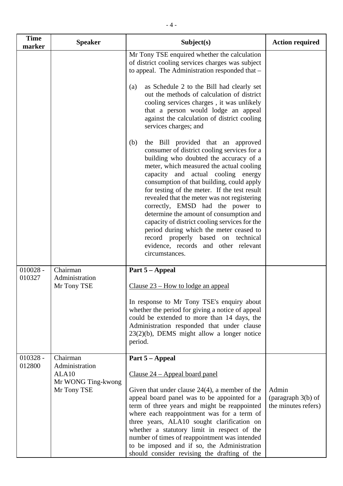| <b>Time</b><br>marker | <b>Speaker</b>                                                                       | Subject(s)                                                                                                                                                                                                                                                                                                                                                                                                                                                                                                                                                                                                                                                           | <b>Action required</b>                               |
|-----------------------|--------------------------------------------------------------------------------------|----------------------------------------------------------------------------------------------------------------------------------------------------------------------------------------------------------------------------------------------------------------------------------------------------------------------------------------------------------------------------------------------------------------------------------------------------------------------------------------------------------------------------------------------------------------------------------------------------------------------------------------------------------------------|------------------------------------------------------|
|                       |                                                                                      | Mr Tony TSE enquired whether the calculation<br>of district cooling services charges was subject<br>to appeal. The Administration responded that -<br>as Schedule 2 to the Bill had clearly set<br>(a)<br>out the methods of calculation of district<br>cooling services charges, it was unlikely<br>that a person would lodge an appeal<br>against the calculation of district cooling                                                                                                                                                                                                                                                                              |                                                      |
|                       |                                                                                      | services charges; and<br>the Bill provided that an approved<br>(b)<br>consumer of district cooling services for a<br>building who doubted the accuracy of a<br>meter, which measured the actual cooling<br>capacity and actual cooling energy<br>consumption of that building, could apply<br>for testing of the meter. If the test result<br>revealed that the meter was not registering<br>correctly, EMSD had the power to<br>determine the amount of consumption and<br>capacity of district cooling services for the<br>period during which the meter ceased to<br>record properly based on technical<br>evidence, records and other relevant<br>circumstances. |                                                      |
| $010028 -$<br>010327  | Chairman<br>Administration<br>Mr Tony TSE                                            | Part 5 – Appeal<br>Clause $23$ – How to lodge an appeal<br>In response to Mr Tony TSE's enquiry about<br>whether the period for giving a notice of appeal<br>could be extended to more than 14 days, the<br>Administration responded that under clause<br>23(2)(b), DEMS might allow a longer notice<br>period.                                                                                                                                                                                                                                                                                                                                                      |                                                      |
| $010328 -$<br>012800  | Chairman<br>Administration<br>ALA <sub>10</sub><br>Mr WONG Ting-kwong<br>Mr Tony TSE | Part 5 - Appeal<br>Clause $24$ – Appeal board panel<br>Given that under clause $24(4)$ , a member of the<br>appeal board panel was to be appointed for a<br>term of three years and might be reappointed<br>where each reappointment was for a term of<br>three years, ALA10 sought clarification on<br>whether a statutory limit in respect of the<br>number of times of reappointment was intended<br>to be imposed and if so, the Administration<br>should consider revising the drafting of the                                                                                                                                                                  | Admin<br>(paragraph $3(b)$ of<br>the minutes refers) |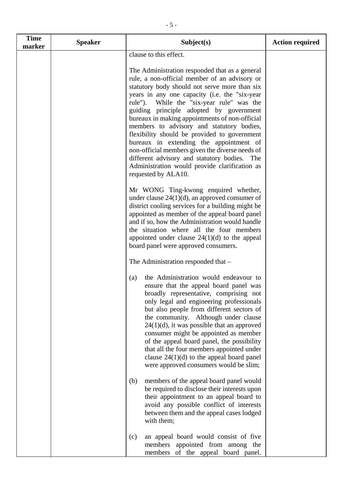| <b>Time</b><br>marker | <b>Speaker</b> | Subject(s)                                                                                                                                                                                                                                                                                                                                                                                                                                                                                                                                                                                                                                                        | <b>Action required</b> |
|-----------------------|----------------|-------------------------------------------------------------------------------------------------------------------------------------------------------------------------------------------------------------------------------------------------------------------------------------------------------------------------------------------------------------------------------------------------------------------------------------------------------------------------------------------------------------------------------------------------------------------------------------------------------------------------------------------------------------------|------------------------|
|                       |                | clause to this effect.                                                                                                                                                                                                                                                                                                                                                                                                                                                                                                                                                                                                                                            |                        |
|                       |                | The Administration responded that as a general<br>rule, a non-official member of an advisory or<br>statutory body should not serve more than six<br>years in any one capacity (i.e. the "six-year<br>rule"). While the "six-year rule" was the<br>guiding principle adopted by government<br>bureaux in making appointments of non-official<br>members to advisory and statutory bodies,<br>flexibility should be provided to government<br>bureaux in extending the appointment of<br>non-official members given the diverse needs of<br>different advisory and statutory bodies.<br>The<br>Administration would provide clarification as<br>requested by ALA10. |                        |
|                       |                | Mr WONG Ting-kwong enquired whether,<br>under clause $24(1)(d)$ , an approved consumer of<br>district cooling services for a building might be<br>appointed as member of the appeal board panel<br>and if so, how the Administration would handle<br>the situation where all the four members<br>appointed under clause $24(1)(d)$ to the appeal<br>board panel were approved consumers.                                                                                                                                                                                                                                                                          |                        |
|                       |                | The Administration responded that -                                                                                                                                                                                                                                                                                                                                                                                                                                                                                                                                                                                                                               |                        |
|                       |                | the Administration would endeavour to<br>(a)<br>ensure that the appeal board panel was<br>broadly representative, comprising not<br>only legal and engineering professionals<br>but also people from different sectors of<br>the community. Although under clause<br>$24(1)(d)$ , it was possible that an approved<br>consumer might be appointed as member<br>of the appeal board panel, the possibility<br>that all the four members appointed under<br>clause $24(1)(d)$ to the appeal board panel<br>were approved consumers would be slim;                                                                                                                   |                        |
|                       |                | members of the appeal board panel would<br>(b)<br>be required to disclose their interests upon<br>their appointment to an appeal board to<br>avoid any possible conflict of interests<br>between them and the appeal cases lodged<br>with them;                                                                                                                                                                                                                                                                                                                                                                                                                   |                        |
|                       |                | an appeal board would consist of five<br>(c)<br>members appointed from among the<br>members<br>of the appeal board panel.                                                                                                                                                                                                                                                                                                                                                                                                                                                                                                                                         |                        |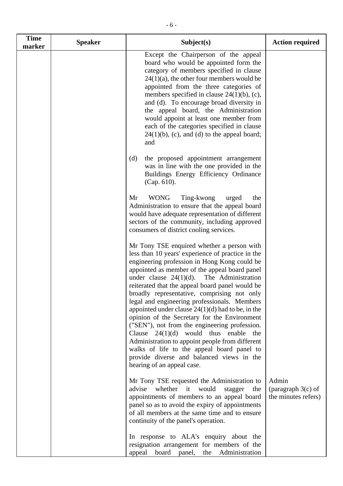| <b>Time</b><br>marker | <b>Speaker</b> | Subject(s)                                                                                                                                                                                                                                                                                                                                                                                                                                                                                                                                                                                                                                                                                                                                                                           | <b>Action required</b>                               |
|-----------------------|----------------|--------------------------------------------------------------------------------------------------------------------------------------------------------------------------------------------------------------------------------------------------------------------------------------------------------------------------------------------------------------------------------------------------------------------------------------------------------------------------------------------------------------------------------------------------------------------------------------------------------------------------------------------------------------------------------------------------------------------------------------------------------------------------------------|------------------------------------------------------|
|                       |                | Except the Chairperson of the appeal<br>board who would be appointed form the<br>category of members specified in clause<br>$24(1)(a)$ , the other four members would be<br>appointed from the three categories of<br>members specified in clause $24(1)(b)$ , (c),<br>and (d). To encourage broad diversity in<br>the appeal board, the Administration<br>would appoint at least one member from<br>each of the categories specified in clause<br>$24(1)(b)$ , (c), and (d) to the appeal board;<br>and                                                                                                                                                                                                                                                                             |                                                      |
|                       |                | (d)<br>the proposed appointment arrangement<br>was in line with the one provided in the<br>Buildings Energy Efficiency Ordinance<br>(Cap. 610).                                                                                                                                                                                                                                                                                                                                                                                                                                                                                                                                                                                                                                      |                                                      |
|                       |                | <b>WONG</b><br>Ting-kwong<br>Mr<br>urged<br>the<br>Administration to ensure that the appeal board<br>would have adequate representation of different<br>sectors of the community, including approved<br>consumers of district cooling services.                                                                                                                                                                                                                                                                                                                                                                                                                                                                                                                                      |                                                      |
|                       |                | Mr Tony TSE enquired whether a person with<br>less than 10 years' experience of practice in the<br>engineering profession in Hong Kong could be<br>appointed as member of the appeal board panel<br>The Administration<br>under clause $24(1)(d)$ .<br>reiterated that the appeal board panel would be<br>broadly representative, comprising not only<br>legal and engineering professionals. Members<br>appointed under clause $24(1)(d)$ had to be, in the<br>opinion of the Secretary for the Environment<br>("SEN"), not from the engineering profession.<br>Clause $24(1)(d)$ would thus enable the<br>Administration to appoint people from different<br>walks of life to the appeal board panel to<br>provide diverse and balanced views in the<br>hearing of an appeal case. |                                                      |
|                       |                | Mr Tony TSE requested the Administration to<br>whether it would<br>advise<br>stagger<br>the<br>appointments of members to an appeal board<br>panel so as to avoid the expiry of appointments<br>of all members at the same time and to ensure<br>continuity of the panel's operation.                                                                                                                                                                                                                                                                                                                                                                                                                                                                                                | Admin<br>(paragraph $3(c)$ of<br>the minutes refers) |
|                       |                | In response to ALA's enquiry about the<br>resignation arrangement for members of the<br>board<br>panel,<br>Administration<br>appeal<br>the                                                                                                                                                                                                                                                                                                                                                                                                                                                                                                                                                                                                                                           |                                                      |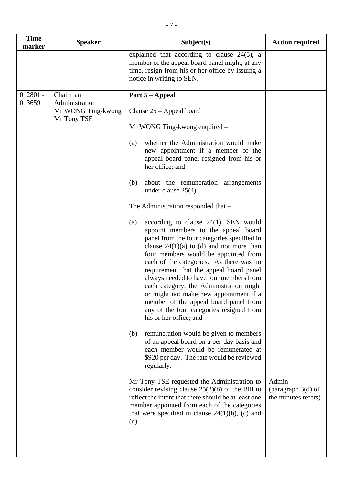| <b>Speaker</b>                                      | Subject(s)                                                                                                                                                                                                                                                                                                                                                                                                                                                                                                                                                      | <b>Action required</b>                               |
|-----------------------------------------------------|-----------------------------------------------------------------------------------------------------------------------------------------------------------------------------------------------------------------------------------------------------------------------------------------------------------------------------------------------------------------------------------------------------------------------------------------------------------------------------------------------------------------------------------------------------------------|------------------------------------------------------|
|                                                     | explained that according to clause $24(5)$ , a<br>member of the appeal board panel might, at any<br>time, resign from his or her office by issuing a<br>notice in writing to SEN.                                                                                                                                                                                                                                                                                                                                                                               |                                                      |
| Chairman                                            | Part 5 – Appeal                                                                                                                                                                                                                                                                                                                                                                                                                                                                                                                                                 |                                                      |
| Administration<br>Mr WONG Ting-kwong<br>Mr Tony TSE | Clause $25$ – Appeal board                                                                                                                                                                                                                                                                                                                                                                                                                                                                                                                                      |                                                      |
|                                                     | Mr WONG Ting-kwong enquired –                                                                                                                                                                                                                                                                                                                                                                                                                                                                                                                                   |                                                      |
|                                                     | whether the Administration would make<br>(a)<br>new appointment if a member of the<br>appeal board panel resigned from his or<br>her office; and                                                                                                                                                                                                                                                                                                                                                                                                                |                                                      |
|                                                     | about the remuneration arrangements<br>(b)<br>under clause $25(4)$ .                                                                                                                                                                                                                                                                                                                                                                                                                                                                                            |                                                      |
|                                                     | The Administration responded that -                                                                                                                                                                                                                                                                                                                                                                                                                                                                                                                             |                                                      |
|                                                     | according to clause $24(1)$ , SEN would<br>(a)<br>appoint members to the appeal board<br>panel from the four categories specified in<br>clause $24(1)(a)$ to (d) and not more than<br>four members would be appointed from<br>each of the categories. As there was no<br>requirement that the appeal board panel<br>always needed to have four members from<br>each category, the Administration might<br>or might not make new appointment if a<br>member of the appeal board panel from<br>any of the four categories resigned from<br>his or her office; and |                                                      |
|                                                     | remuneration would be given to members<br>(b)<br>of an appeal board on a per-day basis and<br>each member would be remunerated at<br>\$920 per day. The rate would be reviewed<br>regularly.                                                                                                                                                                                                                                                                                                                                                                    |                                                      |
|                                                     | Mr Tony TSE requested the Administration to<br>consider revising clause $25(2)(b)$ of the Bill to<br>reflect the intent that there should be at least one<br>member appointed from each of the categories<br>that were specified in clause $24(1)(b)$ , (c) and<br>(d).                                                                                                                                                                                                                                                                                         | Admin<br>(paragraph $3(d)$ of<br>the minutes refers) |
|                                                     |                                                                                                                                                                                                                                                                                                                                                                                                                                                                                                                                                                 |                                                      |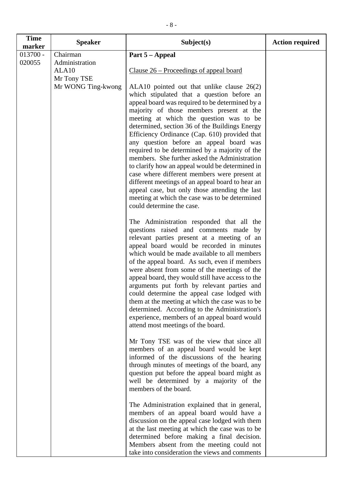| <b>Time</b><br>marker | <b>Speaker</b>     | Subject(s)                                                                                       | <b>Action required</b> |
|-----------------------|--------------------|--------------------------------------------------------------------------------------------------|------------------------|
| $013700 -$            | Chairman           | Part 5 – Appeal                                                                                  |                        |
| 020055                | Administration     |                                                                                                  |                        |
|                       | ALA <sub>10</sub>  | Clause 26 – Proceedings of appeal board                                                          |                        |
|                       | Mr Tony TSE        |                                                                                                  |                        |
|                       | Mr WONG Ting-kwong | ALA10 pointed out that unlike clause 26(2)                                                       |                        |
|                       |                    | which stipulated that a question before an                                                       |                        |
|                       |                    | appeal board was required to be determined by a<br>majority of those members present at the      |                        |
|                       |                    | meeting at which the question was to be                                                          |                        |
|                       |                    | determined, section 36 of the Buildings Energy                                                   |                        |
|                       |                    | Efficiency Ordinance (Cap. 610) provided that                                                    |                        |
|                       |                    | any question before an appeal board was                                                          |                        |
|                       |                    | required to be determined by a majority of the                                                   |                        |
|                       |                    | members. She further asked the Administration                                                    |                        |
|                       |                    | to clarify how an appeal would be determined in<br>case where different members were present at  |                        |
|                       |                    | different meetings of an appeal board to hear an                                                 |                        |
|                       |                    | appeal case, but only those attending the last                                                   |                        |
|                       |                    | meeting at which the case was to be determined                                                   |                        |
|                       |                    | could determine the case.                                                                        |                        |
|                       |                    | The Administration responded that all the                                                        |                        |
|                       |                    | questions raised and comments made by                                                            |                        |
|                       |                    | relevant parties present at a meeting of an                                                      |                        |
|                       |                    | appeal board would be recorded in minutes<br>which would be made available to all members        |                        |
|                       |                    | of the appeal board. As such, even if members                                                    |                        |
|                       |                    | were absent from some of the meetings of the                                                     |                        |
|                       |                    | appeal board, they would still have access to the                                                |                        |
|                       |                    | arguments put forth by relevant parties and                                                      |                        |
|                       |                    | could determine the appeal case lodged with                                                      |                        |
|                       |                    | them at the meeting at which the case was to be<br>determined. According to the Administration's |                        |
|                       |                    | experience, members of an appeal board would                                                     |                        |
|                       |                    | attend most meetings of the board.                                                               |                        |
|                       |                    | Mr Tony TSE was of the view that since all                                                       |                        |
|                       |                    | members of an appeal board would be kept                                                         |                        |
|                       |                    | informed of the discussions of the hearing                                                       |                        |
|                       |                    | through minutes of meetings of the board, any                                                    |                        |
|                       |                    | question put before the appeal board might as                                                    |                        |
|                       |                    | well be determined by a majority of the<br>members of the board.                                 |                        |
|                       |                    |                                                                                                  |                        |
|                       |                    | The Administration explained that in general,                                                    |                        |
|                       |                    | members of an appeal board would have a<br>discussion on the appeal case lodged with them        |                        |
|                       |                    | at the last meeting at which the case was to be                                                  |                        |
|                       |                    | determined before making a final decision.                                                       |                        |
|                       |                    | Members absent from the meeting could not                                                        |                        |
|                       |                    | take into consideration the views and comments                                                   |                        |